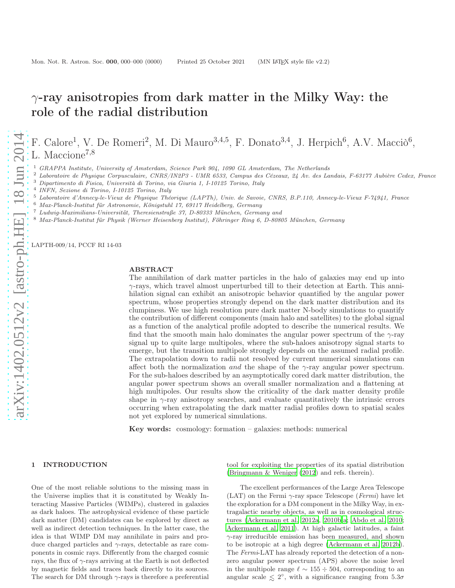# $\gamma$ -ray anisotropies from dark matter in the Milky Way: the role of the radial distribution

F. Calore<sup>1</sup>, V. De Romeri<sup>2</sup>, M. Di Mauro<sup>3,4,5</sup>, F. Donato<sup>3,4</sup>, J. Herpich<sup>6</sup>, A.V. Macciò<sup>6</sup>, L. Maccione<sup>7,8</sup>

<sup>1</sup> GRAPPA Institute, University of Amsterdam, Science Park 904, 1090 GL Amsterdam, The Netherlands

<sup>2</sup> Laboratoire de Physique Corpusculaire, CNRS/IN2P3 - UMR 6533, Campus des Cézeaux, 24 Av. des Landais, F-63177 Aubière Cedex, France

<sup>3</sup> Dipartimento di Fisica, Università di Torino, via Giuria 1, I-10125 Torino, Italy

- 4 INFN, Sezione di Torino, I-10125 Torino, Italy
- <sup>5</sup> Laboratoire d'Annecy-le-Vieux de Physique Théorique (LAPTh), Univ. de Savoie, CNRS, B.P.110, Annecy-le-Vieux F-74941, France
- <sup>6</sup> Max-Planck-Institut für Astronomie, Königstuhl 17, 69117 Heidelberg, Germany
- <sup>7</sup> Ludwig-Maximilians-Universität, Theresienstraße 37, D-80333 München, Germany and
- <sup>8</sup> Max-Planck-Institut für Physik (Werner Heisenberg Institut), Föhringer Ring 6, D-80805 München, Germany

LAPTH-009/14, PCCF RI 14-03

### ABSTRACT

The annihilation of dark matter particles in the halo of galaxies may end up into  $\gamma$ -rays, which travel almost unperturbed till to their detection at Earth. This annihilation signal can exhibit an anisotropic behavior quantified by the angular power spectrum, whose properties strongly depend on the dark matter distribution and its clumpiness. We use high resolution pure dark matter N-body simulations to quantify the contribution of different components (main halo and satellites) to the global signal as a function of the analytical profile adopted to describe the numerical results. We find that the smooth main halo dominates the angular power spectrum of the  $\gamma$ -ray signal up to quite large multipoles, where the sub-haloes anisotropy signal starts to emerge, but the transition multipole strongly depends on the assumed radial profile. The extrapolation down to radii not resolved by current numerical simulations can affect both the normalization and the shape of the  $\gamma$ -ray angular power spectrum. For the sub-haloes described by an asymptotically cored dark matter distribution, the angular power spectrum shows an overall smaller normalization and a flattening at high multipoles. Our results show the criticality of the dark matter density profile shape in  $\gamma$ -ray anisotropy searches, and evaluate quantitatively the intrinsic errors occurring when extrapolating the dark matter radial profiles down to spatial scales not yet explored by numerical simulations.

Key words: cosmology: formation – galaxies: methods: numerical

#### 1 INTRODUCTION

One of the most reliable solutions to the missing mass in the Universe implies that it is constituted by Weakly Interacting Massive Particles (WIMPs), clustered in galaxies as dark haloes. The astrophysical evidence of these particle dark matter (DM) candidates can be explored by direct as well as indirect detection techniques. In the latter case, the idea is that WIMP DM may annihilate in pairs and produce charged particles and γ-rays, detectable as rare components in cosmic rays. Differently from the charged cosmic rays, the flux of  $\gamma$ -rays arriving at the Earth is not deflected by magnetic fields and traces back directly to its sources. The search for DM through  $\gamma$ -rays is therefore a preferential tool for exploiting the properties of its spatial distribution [\(Bringmann & Weniger \(2012\)](#page-5-0) and refs. therein).

The excellent performances of the Large Area Telescope (LAT) on the Fermi  $\gamma$ -ray space Telescope (*Fermi*) have let the exploration for a DM component in the Milky Way, in extragalactic nearby objects, as well as in cosmological structures [\(Ackermann et al. 2012a](#page-5-1), [2010b](#page-5-2)[,a;](#page-5-3) [Abdo et al. 2010](#page-5-4); [Ackermann et al. 2011](#page-5-5)). At high galactic latitudes, a faint  $\gamma$ -ray irreducible emission has been measured, and shown to be isotropic at a high degree [\(Ackermann et al. 2012b](#page-5-6)). The Fermi-LAT has already reported the detection of a nonzero angular power spectrum (APS) above the noise level in the multipole range  $\ell \sim 155 \div 504$ , corresponding to an angular scale  $\leq 2^{\circ}$ , with a significance ranging from  $5.3\sigma$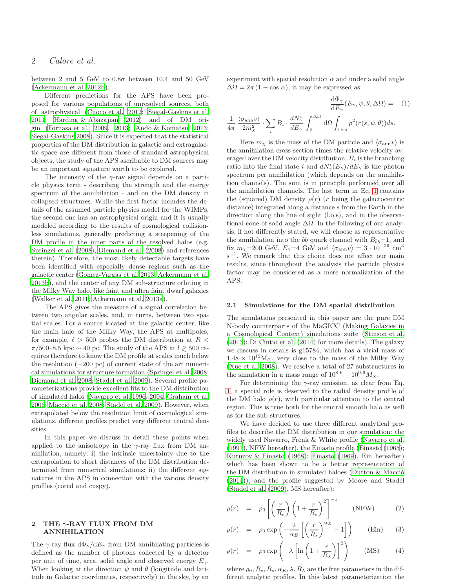between 2 and 5 GeV to  $0.8\sigma$  between 10.4 and 50 GeV [\(Ackermann et al. 2012b](#page-5-6)).

Different predictions for the APS have been proposed for various populations of unresolved sources, both of astrophysical [\(Cuoco et al. 2012;](#page-5-7) [Siegal-Gaskins et al.](#page-6-0) [2011](#page-6-0); [Harding & Abazajian 2012](#page-5-8)) and of DM origin [\(Fornasa et al. 2009](#page-5-9), [2013;](#page-5-10) [Ando & Komatsu 2013;](#page-5-11) [Siegal-Gaskins 2008](#page-6-1)). Since it is expected that the statistical properties of the DM distribution in galactic and extragalactic space are different from those of standard astrophysical objects, the study of the APS ascribable to DM sources may be an important signature worth to be explored.

The intensity of the  $\gamma$ -ray signal depends on a particle physics term - describing the strength and the energy spectrum of the annihilation - and on the DM density in collapsed structures. While the first factor includes the details of the assumed particle physics model for the WIMPs, the second one has an astrophysical origin and it is usually modeled according to the results of cosmological collisionless simulations, generally predicting a steepening of the DM profile in the inner parts of the resolved halos (e.g. [Springel et al. \(2008](#page-6-2)); [Diemand et al. \(2008](#page-5-12)) and references therein). Therefore, the most likely detectable targets have been identified with especially dense regions such as the galactic center [\(Gomez-Vargas et al. 2013](#page-5-13); [Ackermann et al.](#page-5-14) [2013b\)](#page-5-14), and the center of any DM sub-structure orbiting in the Milky Way halo, like faint and ultra faint dwarf galaxies [\(Walker et al. 2011;](#page-6-3) [Ackermann et al. 2013a](#page-5-15)).

The APS gives the measure of a signal correlation between two angular scales, and, in turns, between two spatial scales. For a source located at the galactic center, like the main halo of the Milky Way, the APS at multipoles, for example,  $\ell > 500$  probes the DM distribution at  $R <$  $\pi/500.8.5$  kpc ~ 40 pc. The study of the APS at  $l \geq 500$  requires therefore to know the DM profile at scales much below the resolution (∼200 pc) of current state of the art numerical simulations for structure formation [\(Springel et al. 2008;](#page-6-2) [Diemand et al. 2008](#page-5-12); [Stadel et al. 2009](#page-6-4)). Several profile parameterizations provide excellent fits to the DM distribution of simulated halos [\(Navarro et al. 1996](#page-6-5), [2004;](#page-6-6) [Graham et al.](#page-5-16) [2006](#page-5-16); [Macciò et al. 2008](#page-6-7); [Stadel et al. 2009\)](#page-6-4). However, when extrapolated below the resolution limit of cosmological simulations, different profiles predict very different central densities.

In this paper we discuss in detail these points when applied to the anisotropy in the  $\gamma$ -ray flux from DM annihilation, namely: i) the intrinsic uncertainty due to the extrapolation to short distances of the DM distribution determined from numerical simulations; ii) the different signatures in the APS in connection with the various density profiles (cored and cuspy).

#### <span id="page-1-3"></span>2 THE  $\gamma$ -RAY FLUX FROM DM ANNIHILATION

The  $\gamma$ -ray flux  $d\Phi_{\gamma}/dE_{\gamma}$  from DM annihilating particles is defined as the number of photons collected by a detector per unit of time, area, solid angle and observed energy  $E_{\gamma}$ . When looking at the direction  $\psi$  and  $\theta$  (longitude and latitude in Galactic coordinates, respectively) in the sky, by an experiment with spatial resolution  $\alpha$  and under a solid angle  $\Delta\Omega = 2\pi (1 - \cos \alpha)$ , it may be expressed as:

<span id="page-1-0"></span>dΦ<sup>γ</sup>

$$
\frac{1}{4\pi} \frac{\langle \sigma_{\text{ann}} v \rangle}{2m_{\chi}^2} \cdot \sum_i B_i \cdot \frac{dN_{\gamma}^i}{dE_{\gamma}} \int_0^{\Delta\Omega} d\Omega \int_{\text{l.o.s}} \rho^2(r(s,\psi,\theta))ds.
$$
 (1)

Here  $m_{\chi}$  is the mass of the DM particle and  $\langle \sigma_{\rm ann} v \rangle$  is the annihilation cross section times the relative velocity averaged over the DM velocity distribution.  $B_i$  is the branching ratio into the final state i and  $dN_{\gamma}^{i}(E_{\gamma})/dE_{\gamma}$  is the photon spectrum per annihilation (which depends on the annihilation channels). The sum is in principle performed over all the annihilation channels. The last term in Eq. [1](#page-1-0) contains the (squared) DM density  $\rho(r)$  (r being the galactocentric distance) integrated along a distance s from the Earth in the direction along the line of sight (l.o.s), and in the observational cone of solid angle  $\Delta\Omega$ . In the following of our analysis, if not differently stated, we will choose as representative the annihilation into the  $\bar{b}b$  quark channel with  $B_{\bar{b}b}=1$ , and fix  $m_{\chi}$ =200 GeV,  $E_{\gamma}$ =4 GeV and  $\langle \sigma_{\text{ann}} v \rangle = 3 \cdot 10^{-26}$  cm<sup>3</sup> s<sup>-1</sup>. We remark that this choice does not affect our main results, since throughout the analysis the particle physics factor may be considered as a mere normalization of the APS.

#### <span id="page-1-2"></span>2.1 Simulations for the DM spatial distribution

The simulations presented in this paper are the pure DM N-body counterparts of the MaGICC (Making Galaxies in a Cosmological Context) simulations suite [\(Stinson et al.](#page-6-8) [\(2013](#page-6-8)); [Di Cintio et al. \(2014\)](#page-5-17) for more details). The galaxy we discuss in details is g15784, which has a virial mass of  $1.48 \times 10^{12} M_{\odot}$ , very close to the mass of the Milky Way [\(Xue et al. 2008](#page-6-9)). We resolve a total of 27 substructures in the simulation in a mass range of  $10^{8.6} - 10^{9.6} M_{\odot}$ .

For determining the  $\gamma$ -ray emission, as clear from Eq. [1,](#page-1-0) a special role is deserved to the radial density profile of the DM halo  $\rho(r)$ , with particular attention to the central region. This is true both for the central smooth halo as well as for the sub-structures.

We have decided to use three different analytical profiles to describe the DM distribution in our simulation: the widely used Navarro, Frenk & White profile [\(Navarro et al.](#page-6-10) [\(1997](#page-6-10)), NFW hereafter), the Einasto profile [\(Einasto \(1965](#page-5-18)); [Kutuzov & Einasto \(1968](#page-5-19)); [Einasto \(1969](#page-5-20)), Ein hereafter) which has been shown to be a better representation of the DM distribution in simulated haloes [\(Dutton & Macciò](#page-5-21) [\(2014](#page-5-21))), and the profile suggested by Moore and Stadel [\(Stadel et al. \(2009](#page-6-4)), MS hereafter):

<span id="page-1-1"></span>
$$
\rho(r) = \rho_0 \left[ \left( \frac{r}{R_c} \right) \left( 1 + \frac{r}{R_c} \right)^2 \right]^{-1} \quad (\text{NFW}) \tag{2}
$$

$$
\rho(r) = \rho_0 \exp\left(-\frac{2}{\alpha_E} \left[ \left(\frac{r}{R_s}\right)^{\alpha_E} - 1 \right] \right) \qquad \text{(Ein)} \qquad (3)
$$

$$
\rho(r) = \rho_0 \exp\left(-\lambda \left[\ln\left(1 + \frac{r}{R_{\lambda}}\right)\right]^2\right) \quad \text{(MS)} \tag{4}
$$

where  $\rho_0$ ,  $R_c$ ,  $R_s$ ,  $\alpha_E$ ,  $\lambda$ ,  $R_\lambda$  are the free parameters in the different analytic profiles. In this latest parameterization the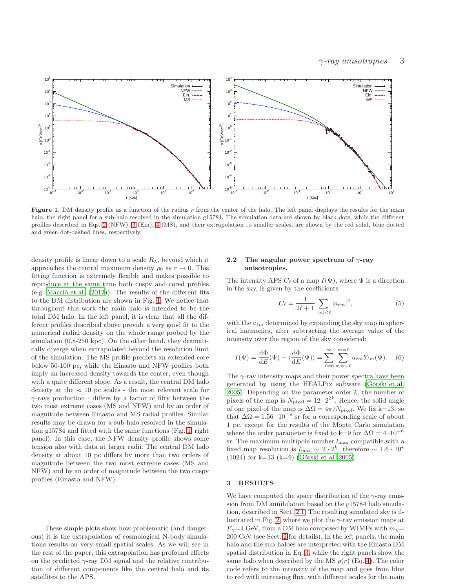

<span id="page-2-0"></span>**Figure 1.** DM density profile as a function of the radius  $r$  from the center of the halo. The left panel displays the results for the main halo, the right panel for a sub-halo resolved in the simulation g15784. The simulation data are shown by black dots, while the different profiles described in Eqs. [2](#page-1-1) (NFW), [3](#page-1-1) (Ein), [4](#page-1-1) (MS), and their extrapolation to smaller scales, are shown by the red solid, blue dotted and green dot-dashed lines, respectively.

density profile is linear down to a scale  $R_{\lambda}$ , beyond which it approaches the central maximum density  $\rho_0$  as  $r \to 0$ . This fitting function is extremely flexible and makes possible to reproduce at the same time both cuspy and cored profiles (e.g. [Macciò et al. \(2012](#page-6-11))). The results of the different fits to the DM distribution are shown in Fig. [1.](#page-2-0) We notice that throughout this work the main halo is intended to be the total DM halo. In the left panel, it is clear that all the different profiles described above provide a very good fit to the numerical radial density on the whole range probed by the simulation (0.8-250 kpc). On the other hand, they dramatically diverge when extrapolated beyond the resolution limit of the simulation. The MS profile predicts an extended core below 50-100 pc, while the Einasto and NFW profiles both imply an increased density towards the center, even though with a quite different slope. As a result, the central DM halo density at the  $\approx 10$  pc scales - the most relevant scale for  $\gamma$ -rays production - differs by a factor of fifty between the two most extreme cases (MS and NFW) and by an order of magnitude between Einasto and MS radial profiles. Similar results may be drawn for a sub-halo resolved in the simulation g15784 and fitted with the same functions (Fig. [1,](#page-2-0) right panel). In this case, the NFW density profile shows some tension also with data at larger radii. The central DM halo density at about 10 pc differs by more than two orders of magnitude between the two most extreme cases (MS and NFW) and by an order of magnitude between the two cuspy profiles (Einasto and NFW).

These simple plots show how problematic (and dangerous) it is the extrapolation of cosmological N-body simulations results on very small spatial scales. As we will see in the rest of the paper, this extrapolation has profound effects on the predicted  $\gamma$ -ray DM signal and the relative contribution of different components like the central halo and its satellites to the APS.

## 2.2 The angular power spectrum of  $\gamma$ -ray anisotropies.

The intensity APS  $C_{\ell}$  of a map  $I(\Psi)$ , where  $\Psi$  is a direction in the sky, is given by the coefficients

$$
C_{\ell} = \frac{1}{2\ell + 1} \sum_{|m| < \ell} |a_{\ell m}|^2,\tag{5}
$$

with the  $a_{\ell m}$  determined by expanding the sky map in spherical harmonics, after subtracting the average value of the intensity over the region of the sky considered:

$$
I(\Psi) = \frac{\mathrm{d}\Phi}{\mathrm{d}E}(\Psi) - \langle \frac{\mathrm{d}\Phi}{\mathrm{d}E}(\Psi) \rangle = \sum_{\ell=0}^{\infty} \sum_{m=-\ell}^{m=\ell} a_{\ell m} Y_{\ell m}(\Psi). \quad (6)
$$

The  $\gamma$ -ray intensity maps and their power spectra have been generated by using the HEALPix software [\(Górski et al.](#page-5-22) [2005](#page-5-22)). Depending on the parameter order  $k$ , the number of pixels of the map is  $N_{\text{pixel}} = 12 \cdot 2^{2k}$ . Hence, the solid angle of one pixel of the map is  $\Delta \Omega = 4\pi/N_{\text{pixel}}$ . We fix k=13, so that  $\Delta\Omega = 1.56 \cdot 10^{-8}$  sr for a corresponding scale of about 1 pc, except for the results of the Monte Carlo simulation where the order parameter is fixed to k=9 for  $\Delta\Omega = 4 \cdot 10^{-6}$ sr. The maximum multipole number  $l_{\text{max}}$  compatible with a fixed map resolution is  $l_{\text{max}} \sim 2 \cdot 2^k$ , therefore  $\sim 1.6 \cdot 10^4$ (1024) for k=13 (k=9) [\(Górski et al. 2005](#page-5-22)).

#### 3 RESULTS

We have computed the space distribution of the  $\gamma$ -ray emission from DM annihilation based on the g15784 halo simulation, described in Sect. [2.1.](#page-1-2) The resulting simulated sky is il-lustrated in Fig. [2,](#page-3-0) where we plot the  $\gamma$ -ray emission maps at  $E_{\gamma}=4$  GeV, from a DM halo composed by WIMPs with  $m_{\gamma}=$ 200 GeV (see Sect. [2](#page-1-3) for details). In the left panels, the main halo and the sub-haloes are interpreted with the Einasto DM spatial distribution in Eq. [3,](#page-1-1) while the right panels show the same halo when described by the MS  $\rho(r)$  (Eq. [4\)](#page-1-1). The color code refers to the intensity of the map and goes from blue to red with increasing flux, with different scales for the main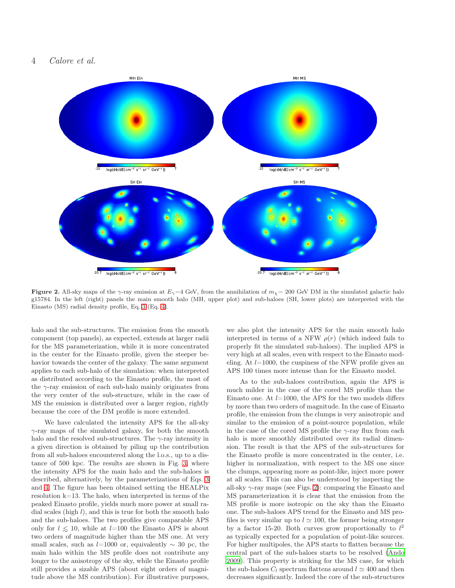# 4 Calore et al.



<span id="page-3-0"></span>Figure 2. All-sky maps of the  $\gamma$ -ray emission at  $E_{\gamma} = 4$  GeV, from the annihilation of  $m_{\gamma} = 200$  GeV DM in the simulated galactic halo g15784. In the left (right) panels the main smooth halo (MH, upper plot) and sub-haloes (SH, lower plots) are interpreted with the Einasto (MS) radial density profile, Eq. [3](#page-1-1) (Eq. [4\)](#page-1-1).

halo and the sub-structures. The emission from the smooth component (top panels), as expected, extends at larger radii for the MS parameterization, while it is more concentrated in the center for the Einasto profile, given the steeper behavior towards the center of the galaxy. The same argument applies to each sub-halo of the simulation: when interpreted as distributed according to the Einasto profile, the most of the  $\gamma$ -ray emission of each sub-halo mainly originates from the very center of the sub-structure, while in the case of MS the emission is distributed over a larger region, rightly because the core of the DM profile is more extended.

We have calculated the intensity APS for the all-sky  $\gamma$ -ray maps of the simulated galaxy, for both the smooth halo and the resolved sub-structures. The  $\gamma$ -ray intensity in a given direction is obtained by piling up the contribution from all sub-haloes encountered along the l.o.s., up to a distance of 500 kpc. The results are shown in Fig. [3,](#page-4-0) where the intensity APS for the main halo and the sub-haloes is described, alternatively, by the parameterizations of Eqs. [3](#page-1-1) and [4.](#page-1-1) The figure has been obtained setting the HEALPix resolution  $k=13$ . The halo, when interpreted in terms of the peaked Einasto profile, yields much more power at small radial scales (high  $l$ ), and this is true for both the smooth halo and the sub-haloes. The two profiles give comparable APS only for  $l \leq 10$ , while at l=100 the Einasto APS is about two orders of magnitude higher than the MS one. At very small scales, such as l=1000 or, equivalently  $\sim$  30 pc, the main halo within the MS profile does not contribute any longer to the anisotropy of the sky, while the Einasto profile still provides a sizable APS (about eight orders of magnitude above the MS contribution). For illustrative purposes,

we also plot the intensity APS for the main smooth halo interpreted in terms of a NFW  $\rho(r)$  (which indeed fails to properly fit the simulated sub-haloes). The implied APS is very high at all scales, even with respect to the Einasto modeling. At  $l=1000$ , the cuspiness of the NFW profile gives an APS 100 times more intense than for the Einasto model.

As to the sub-haloes contribution, again the APS is much milder in the case of the cored MS profile than the Einasto one. At  $l=1000$ , the APS for the two models differs by more than two orders of magnitude. In the case of Einasto profile, the emission from the clumps is very anisotropic and similar to the emission of a point-source population, while in the case of the cored MS profile the  $\gamma$ -ray flux from each halo is more smoothly distributed over its radial dimension. The result is that the APS of the sub-structures for the Einasto profile is more concentrated in the center, i.e. higher in normalization, with respect to the MS one since the clumps, appearing more as point-like, inject more power at all scales. This can also be understood by inspecting the all-sky  $\gamma$ -ray maps (see Figs. [2\)](#page-3-0): comparing the Einasto and MS parameterization it is clear that the emission from the MS profile is more isotropic on the sky than the Einasto one. The sub-haloes APS trend for the Einasto and MS profiles is very similar up to  $l \approx 100$ , the former being stronger by a factor 15-20. Both curves grow proportionally to  $l^2$ as typically expected for a population of point-like sources. For higher multipoles, the APS starts to flatten because the central part of the sub-haloes starts to be resolved [\(Ando](#page-5-23) [2009](#page-5-23)). This property is striking for the MS case, for which the sub-haloes  $C_l$  spectrum flattens around  $l \approx 400$  and then decreases significantly. Indeed the core of the sub-structures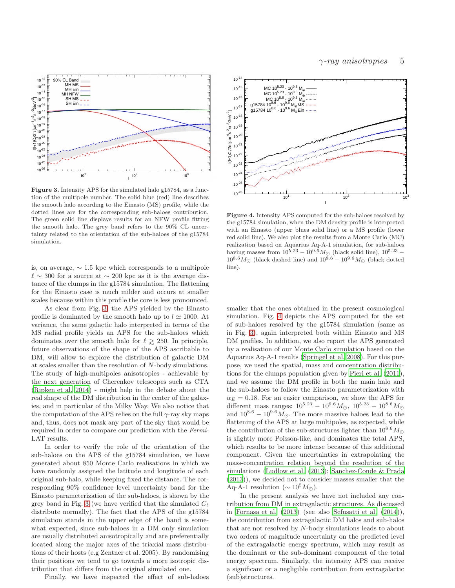

<span id="page-4-0"></span>Figure 3. Intensity APS for the simulated halo g15784, as a function of the multipole number. The solid blue (red) line describes the smooth halo according to the Einasto (MS) profile, while the dotted lines are for the corresponding sub-haloes contribution. The green solid line displays results for an NFW profile fitting the smooth halo. The grey band refers to the 90% CL uncertainty related to the orientation of the sub-haloes of the g15784 simulation.

is, on average,  $\sim$  1.5 kpc which corresponds to a multipole  $\ell \sim 300$  for a source at  $\sim 200$  kpc as it is the average distance of the clumps in the g15784 simulation. The flattening for the Einasto case is much milder and occurs at smaller scales because within this profile the core is less pronounced.

As clear from Fig. [3,](#page-4-0) the APS yielded by the Einasto profile is dominated by the smooth halo up to  $l \approx 1000$ . At variance, the same galactic halo interpreted in terms of the MS radial profile yields an APS for the sub-haloes which dominates over the smooth halo for  $\ell \geq 250$ . In principle, future observations of the shape of the APS ascribable to DM, will allow to explore the distribution of galactic DM at scales smaller than the resolution of N-body simulations. The study of high-multipoles anisotropies - achievable by the next generation of Cherenkov telescopes such as CTA [\(Ripken et al. 2014\)](#page-6-12) - might help in the debate about the real shape of the DM distribution in the center of the galaxies, and in particular of the Milky Way. We also notice that the computation of the APS relies on the full  $\gamma$ -ray sky maps and, thus, does not mask any part of the sky that would be required in order to compare our prediction with the Fermi-LAT results.

In order to verify the role of the orientation of the sub-haloes on the APS of the g15784 simulation, we have generated about 850 Monte Carlo realisations in which we have randomly assigned the latitude and longitude of each original sub-halo, while keeping fixed the distance. The corresponding 90% confidence level uncertainty band for the Einasto parameterization of the sub-haloes, is shown by the grey band in Fig. [3](#page-4-0) (we have verified that the simulated  $C_{\ell}$ distribute normally). The fact that the APS of the g15784 simulation stands in the upper edge of the band is somewhat expected, since sub-haloes in a DM only simulation are usually distributed anisotropically and are preferentially located along the major axes of the triaxial mass distributions of their hosts (e.g Zentner et al. 2005). By randomising their positions we tend to go towards a more isotropic distribution that differs from the original simulated one.

Finally, we have inspected the effect of sub-haloes



<span id="page-4-1"></span>Figure 4. Intensity APS computed for the sub-haloes resolved by the g15784 simulation, when the DM density profile is interpreted with an Einasto (upper blues solid line) or a MS profile (lower red solid line). We also plot the results from a Monte Carlo (MC) realization based on Aquarius Aq-A-1 simulation, for sub-haloes having masses from  $10^{5.23} - 10^{9.6} M_{\odot}$  (black solid line),  $10^{5.23}$  –  $10^{8.6}M_{\odot}$  (black dashed line) and  $10^{8.6} - 10^{9.6}M_{\odot}$  (black dotted line).

smaller that the ones obtained in the present cosmological simulation. Fig. [4](#page-4-1) depicts the APS computed for the set of sub-haloes resolved by the g15784 simulation (same as in Fig. [3\)](#page-4-0), again interpreted both within Einasto and MS DM profiles. In addition, we also report the APS generated by a realisation of our Monte Carlo simulation based on the Aquarius Aq-A-1 results [\(Springel et al. 2008](#page-6-2)). For this purpose, we used the spatial, mass and concentration distributions for the clumps population given by [Pieri et al. \(2011](#page-6-13)), and we assume the DM profile in both the main halo and the sub-haloes to follow the Einasto parameterization with  $\alpha_E = 0.18$ . For an easier comparison, we show the APS for different mass ranges:  $10^{5.23} - 10^{9.6} M_{\odot}$ ,  $10^{5.23} - 10^{8.6} M_{\odot}$ and  $10^{8.6} - 10^{9.6} M_{\odot}$ . The more massive haloes lead to the flattening of the APS at large multipoles, as expected, while the contribution of the sub-structures lighter than  $10^{8.6}M_{\odot}$ is slightly more Poisson-like, and dominates the total APS, which results to be more intense because of this additional component. Given the uncertainties in extrapolating the mass-concentration relation beyond the resolution of the simulations [\(Ludlow et al. \(2013](#page-5-24)); [Sanchez-Conde & Prada](#page-6-14) [\(2013](#page-6-14))), we decided not to consider masses smaller that the Aq-A-1 resolution ( $\sim 10^{8} M_{\odot}$ ).

In the present analysis we have not included any contribution from DM in extragalactic structures. As discussed in [Fornasa et al. \(2013](#page-5-10)) (see also [Sefusatti et al. \(2014](#page-6-15))), the contribution from extragalactic DM halos and sub-halos that are not resolved by N-body simulations leads to about two orders of magnitude uncertainty on the predicted level of the extragalactic energy spectrum, which may result as the dominant or the sub-dominant component of the total energy spectrum. Similarly, the intensity APS can receive a significant or a negligible contribution from extragalactic (sub)structures.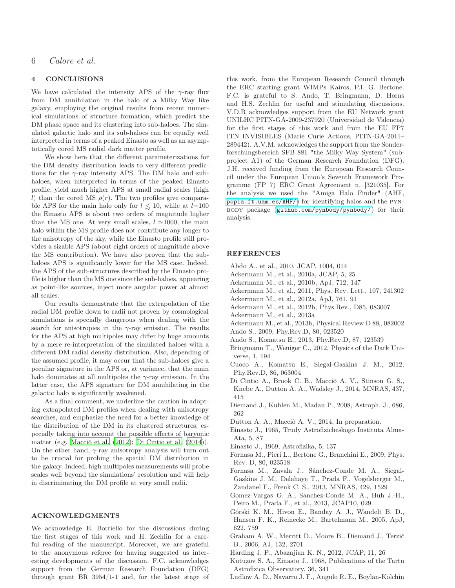# 6 Calore et al.

## 4 CONCLUSIONS

We have calculated the intensity APS of the  $\gamma$ -ray flux from DM annihilation in the halo of a Milky Way like galaxy, employing the original results from recent numerical simulations of structure formation, which predict the DM phase space and its clustering into sub-haloes. The simulated galactic halo and its sub-haloes can be equally well interpreted in terms of a peaked Einasto as well as an asymptotically cored MS radial dark matter profile.

We show here that the different parameterizations for the DM density distribution leads to very different predictions for the  $\gamma$ -ray intensity APS. The DM halo and subhaloes, when interpreted in terms of the peaked Einasto profile, yield much higher APS at small radial scales (high l) than the cored MS  $\rho(r)$ . The two profiles give comparable APS for the main halo only for  $l \leq 10$ , while at  $l=100$ the Einasto APS is about two orders of magnitude higher than the MS one. At very small scales,  $l \approx 1000$ , the main halo within the MS profile does not contribute any longer to the anisotropy of the sky, while the Einasto profile still provides a sizable APS (about eight orders of magnitude above the MS contribution). We have also proven that the subhaloes APS is significantly lower for the MS case. Indeed, the APS of the sub-structures described by the Einasto profile is higher than the MS one since the sub-haloes, appearing as point-like sources, inject more angular power at almost all scales.

Our results demonstrate that the extrapolation of the radial DM profile down to radii not proven by cosmological simulations is specially dangerous when dealing with the search for anisotropies in the  $\gamma$ -ray emission. The results for the APS at high multipoles may differ by huge amounts by a mere re-interpretation of the simulated haloes with a different DM radial density distribution. Also, depending of the assumed profile, it may occur that the sub-haloes give a peculiar signature in the APS or, at variance, that the main halo dominates at all multipoles the  $\gamma$ -ray emission. In the latter case, the APS signature for DM annihilating in the galactic halo is significantly weakened.

As a final comment, we underline the caution in adopting extrapolated DM profiles when dealing with anisotropy searches, and emphasize the need for a better knowledge of the distribution of the DM in its clustered structures, especially taking into account the possible effects of baryonic matter (e.g. [Macciò et al. \(2012\)](#page-6-16); [Di Cintio et al. \(2014](#page-5-17))). On the other hand,  $\gamma$ -ray anisotropy analysis will turn out to be crucial for probing the spatial DM distribution in the galaxy. Indeed, high multipoles measurements will probe scales well beyond the simulations' resolution and will help in discriminating the DM profile at very small radii.

## ACKNOWLEDGMENTS

We acknowledge E. Borriello for the discussions during the first stages of this work and H. Zechlin for a careful reading of the manuscript. Moreover, we are grateful to the anonymous referee for having suggested us interesting developments of the discussion. F.C. acknowledges support from the German Research Foundation (DFG) through grant BR 3954/1-1 and, for the latest stage of this work, from the European Research Council through the ERC starting grant WIMPs Kairos, P.I. G. Bertone. F.C. is grateful to S. Ando, T. Bringmann, D. Horns and H.S. Zechlin for useful and stimulating discussions. V.D.R acknowledges support from the EU Network grant UNILHC PITN-GA-2009-237920 (Universidad de Valencia) for the first stages of this work and from the EU FP7 ITN INVISIBLES (Marie Curie Actions, PITN-GA-2011– 289442). A.V.M. acknowledges the support from the Sonderforschungsbereich SFB 881 "the Milky Way System" (subproject A1) of the German Research Foundation (DFG). J.H. received funding from the European Research Council under the European Union's Seventh Framework Programme (FP 7) ERC Grant Agreement n. [321035]. For the analysis we used the "Amiga Halo Finder" (AHF, <popia.ft.uam.es/AHF/>) for identifying halos and the pynbody package (<github.com/pynbody/pynbody/>) for their analysis.

## REFERENCES

- <span id="page-5-4"></span>Abdo A., et al., 2010, JCAP, 1004, 014
- <span id="page-5-3"></span>Ackermann M., et al., 2010a, JCAP, 5, 25
- <span id="page-5-2"></span>Ackermann M., et al., 2010b, ApJ, 712, 147
- <span id="page-5-5"></span>Ackermann M., et al., 2011, Phys. Rev. Lett., 107, 241302
- <span id="page-5-1"></span>Ackermann M., et al., 2012a, ApJ, 761, 91
- <span id="page-5-6"></span>Ackermann M., et al., 2012b, Phys.Rev., D85, 083007
- <span id="page-5-15"></span>Ackermann M., et al., 2013a
- <span id="page-5-23"></span><span id="page-5-14"></span>Ackermann M., et al., 2013b, Physical Review D 88, 082002 Ando S., 2009, Phy.Rev.D, 80, 023520
- <span id="page-5-11"></span>Ando S., Komatsu E., 2013, Phy.Rev.D, 87, 123539
- <span id="page-5-0"></span>Bringmann T., Weniger C., 2012, Physics of the Dark Universe, 1, 194
- <span id="page-5-7"></span>Cuoco A., Komatsu E., Siegal-Gaskins J. M., 2012, Phy.Rev.D, 86, 063004
- <span id="page-5-17"></span>Di Cintio A., Brook C. B., Macciò A. V., Stinson G. S., Knebe A., Dutton A. A., Wadsley J., 2014, MNRAS, 437, 415
- <span id="page-5-12"></span>Diemand J., Kuhlen M., Madau P., 2008, Astroph. J., 686, 262
- <span id="page-5-21"></span>Dutton A. A., Macciò A. V., 2014, In preparation.
- <span id="page-5-18"></span>Einasto J., 1965, Trudy Astrofizicheskogo Instituta Alma-Ata, 5, 87
- <span id="page-5-20"></span>Einasto J., 1969, Astrofizika, 5, 137
- <span id="page-5-9"></span>Fornasa M., Pieri L., Bertone G., Branchini E., 2009, Phys. Rev. D, 80, 023518
- <span id="page-5-10"></span>Fornasa M., Zavala J., Sánchez-Conde M. A., Siegal-Gaskins J. M., Delahaye T., Prada F., Vogelsberger M., Zandanel F., Frenk C. S., 2013, MNRAS, 429, 1529
- <span id="page-5-13"></span>Gomez-Vargas G. A., Sanchez-Conde M. A., Huh J.-H., Peiro M., Prada F., et al., 2013, JCAP10, 029
- <span id="page-5-22"></span>Górski K. M., Hivon E., Banday A. J., Wandelt B. D., Hansen F. K., Reinecke M., Bartelmann M., 2005, ApJ, 622, 759
- <span id="page-5-16"></span>Graham A. W., Merritt D., Moore B., Diemand J., Terzić B., 2006, AJ, 132, 2701
- <span id="page-5-8"></span>Harding J. P., Abazajian K. N., 2012, JCAP, 11, 26
- <span id="page-5-19"></span>Kutuzov S. A., Einasto J., 1968, Publications of the Tartu Astrofizica Observatory, 36, 341
- <span id="page-5-24"></span>Ludlow A. D., Navarro J. F., Angulo R. E., Boylan-Kolchin